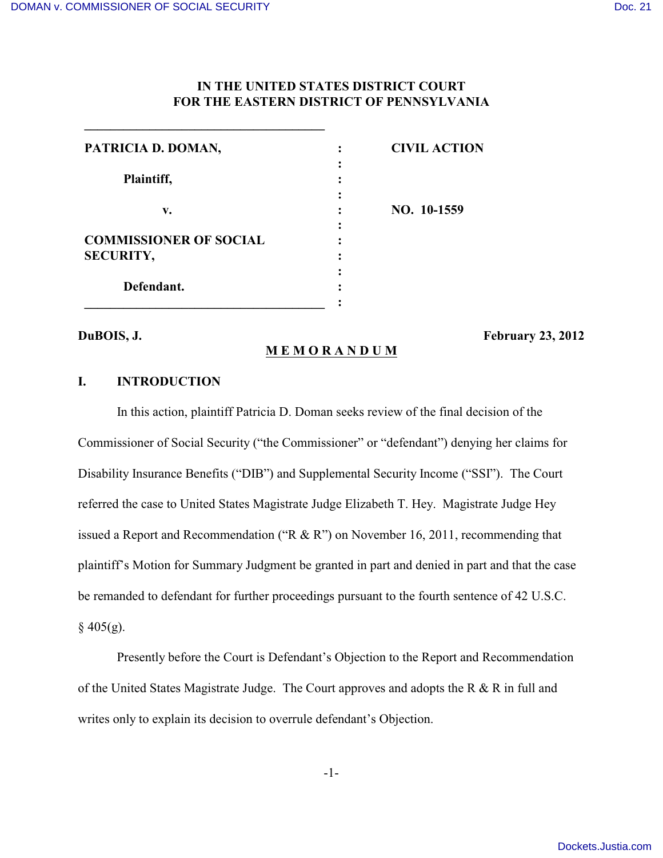**\_\_\_\_\_\_\_\_\_\_\_\_\_\_\_\_\_\_\_\_\_\_\_\_\_\_\_\_\_\_\_\_\_\_\_\_\_**

# **IN THE UNITED STATES DISTRICT COURT FOR THE EASTERN DISTRICT OF PENNSYLVANIA**

| PATRICIA D. DOMAN,            | <b>CIVIL ACTION</b> |
|-------------------------------|---------------------|
|                               |                     |
| Plaintiff,                    |                     |
|                               |                     |
| v.                            | NO. 10-1559         |
|                               |                     |
| <b>COMMISSIONER OF SOCIAL</b> |                     |
| <b>SECURITY,</b>              |                     |
|                               |                     |
| Defendant.                    |                     |
|                               |                     |

**M E M O R A N D U M**

**DuBOIS, J. February 23, 2012**

# **I. INTRODUCTION**

In this action, plaintiff Patricia D. Doman seeks review of the final decision of the Commissioner of Social Security ("the Commissioner" or "defendant") denying her claims for Disability Insurance Benefits ("DIB") and Supplemental Security Income ("SSI"). The Court referred the case to United States Magistrate Judge Elizabeth T. Hey. Magistrate Judge Hey issued a Report and Recommendation ("R & R") on November 16, 2011, recommending that plaintiff's Motion for Summary Judgment be granted in part and denied in part and that the case be remanded to defendant for further proceedings pursuant to the fourth sentence of 42 U.S.C.  $§$  405(g).

Presently before the Court is Defendant's Objection to the Report and Recommendation of the United States Magistrate Judge. The Court approves and adopts the R & R in full and writes only to explain its decision to overrule defendant's Objection.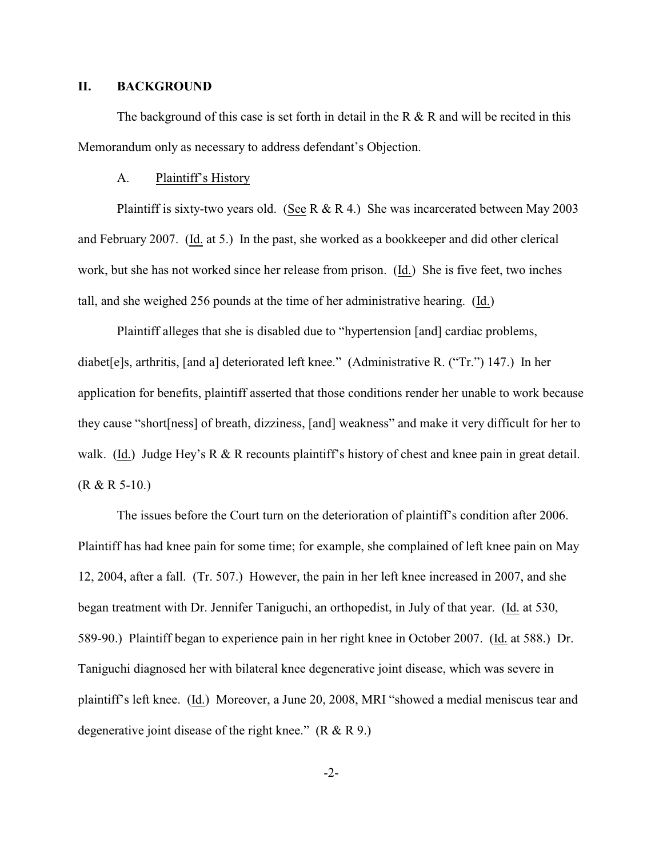### **II. BACKGROUND**

The background of this case is set forth in detail in the R  $\&$  R and will be recited in this Memorandum only as necessary to address defendant's Objection.

#### A. Plaintiff's History

Plaintiff is sixty-two years old. (See R & R 4.) She was incarcerated between May 2003 and February 2007. (Id. at 5.) In the past, she worked as a bookkeeper and did other clerical work, but she has not worked since her release from prison. (Id.) She is five feet, two inches tall, and she weighed 256 pounds at the time of her administrative hearing. (Id.)

Plaintiff alleges that she is disabled due to "hypertension [and] cardiac problems, diabet[e]s, arthritis, [and a] deteriorated left knee." (Administrative R. ("Tr.") 147.) In her application for benefits, plaintiff asserted that those conditions render her unable to work because they cause "short[ness] of breath, dizziness, [and] weakness" and make it very difficult for her to walk. (Id.) Judge Hey's R & R recounts plaintiff's history of chest and knee pain in great detail. (R & R 5-10.)

The issues before the Court turn on the deterioration of plaintiff's condition after 2006. Plaintiff has had knee pain for some time; for example, she complained of left knee pain on May 12, 2004, after a fall. (Tr. 507.) However, the pain in her left knee increased in 2007, and she began treatment with Dr. Jennifer Taniguchi, an orthopedist, in July of that year. (Id. at 530, 589-90.) Plaintiff began to experience pain in her right knee in October 2007. (Id. at 588.) Dr. Taniguchi diagnosed her with bilateral knee degenerative joint disease, which was severe in plaintiff's left knee. (Id.) Moreover, a June 20, 2008, MRI "showed a medial meniscus tear and degenerative joint disease of the right knee."  $(R & R 9)$ .

-2-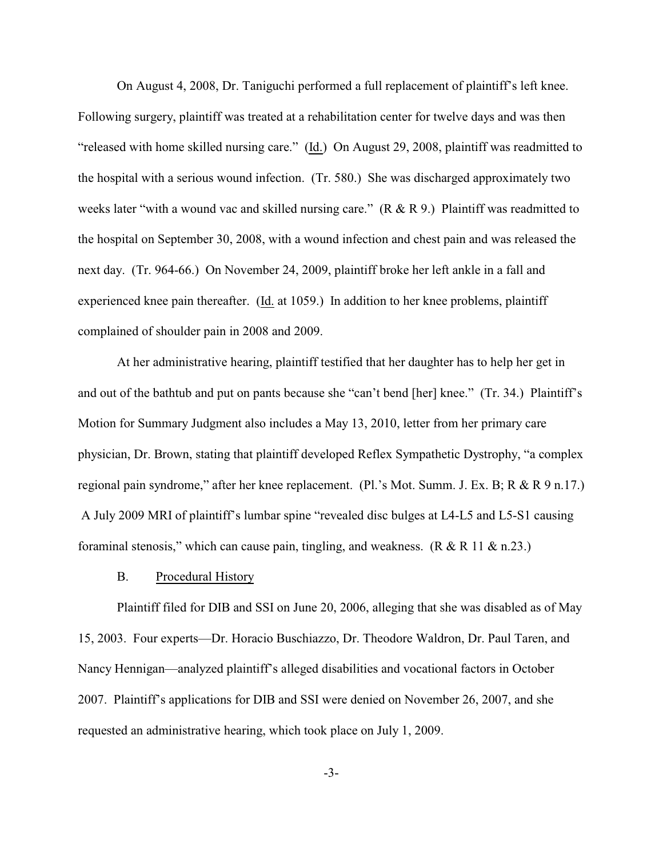On August 4, 2008, Dr. Taniguchi performed a full replacement of plaintiff's left knee. Following surgery, plaintiff was treated at a rehabilitation center for twelve days and was then "released with home skilled nursing care." (Id.) On August 29, 2008, plaintiff was readmitted to the hospital with a serious wound infection. (Tr. 580.) She was discharged approximately two weeks later "with a wound vac and skilled nursing care." (R & R 9.) Plaintiff was readmitted to the hospital on September 30, 2008, with a wound infection and chest pain and was released the next day. (Tr. 964-66.) On November 24, 2009, plaintiff broke her left ankle in a fall and experienced knee pain thereafter. (Id. at 1059.) In addition to her knee problems, plaintiff complained of shoulder pain in 2008 and 2009.

At her administrative hearing, plaintiff testified that her daughter has to help her get in and out of the bathtub and put on pants because she "can't bend [her] knee." (Tr. 34.) Plaintiff's Motion for Summary Judgment also includes a May 13, 2010, letter from her primary care physician, Dr. Brown, stating that plaintiff developed Reflex Sympathetic Dystrophy, "a complex regional pain syndrome," after her knee replacement. (Pl.'s Mot. Summ. J. Ex. B; R & R 9 n.17.) A July 2009 MRI of plaintiff's lumbar spine "revealed disc bulges at L4-L5 and L5-S1 causing foraminal stenosis," which can cause pain, tingling, and weakness.  $(R & R 11 & R n.23)$ 

#### B. Procedural History

Plaintiff filed for DIB and SSI on June 20, 2006, alleging that she was disabled as of May 15, 2003. Four experts—Dr. Horacio Buschiazzo, Dr. Theodore Waldron, Dr. Paul Taren, and Nancy Hennigan—analyzed plaintiff's alleged disabilities and vocational factors in October 2007. Plaintiff's applications for DIB and SSI were denied on November 26, 2007, and she requested an administrative hearing, which took place on July 1, 2009.

-3-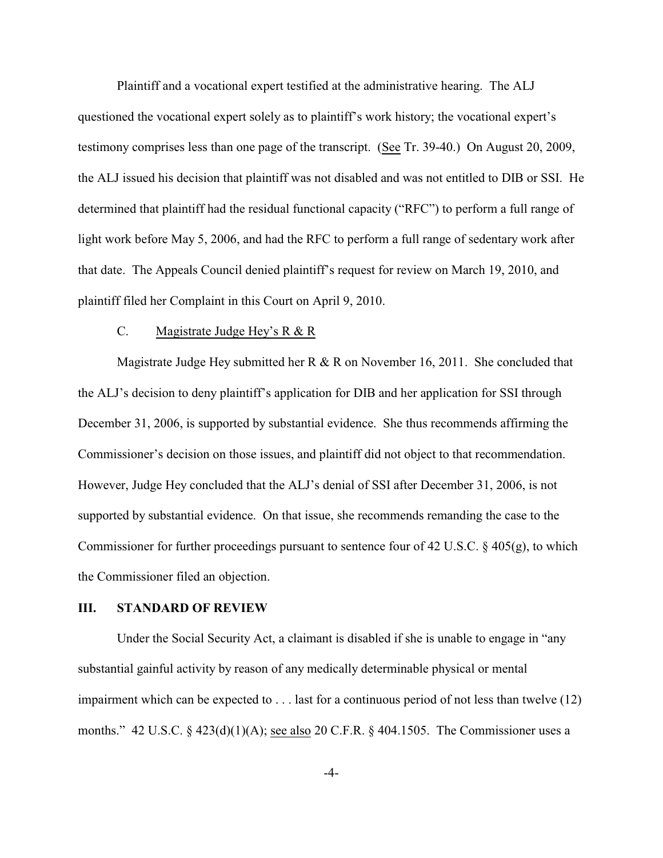Plaintiff and a vocational expert testified at the administrative hearing. The ALJ questioned the vocational expert solely as to plaintiff's work history; the vocational expert's testimony comprises less than one page of the transcript. (See Tr. 39-40.) On August 20, 2009, the ALJ issued his decision that plaintiff was not disabled and was not entitled to DIB or SSI. He determined that plaintiff had the residual functional capacity ("RFC") to perform a full range of light work before May 5, 2006, and had the RFC to perform a full range of sedentary work after that date. The Appeals Council denied plaintiff's request for review on March 19, 2010, and plaintiff filed her Complaint in this Court on April 9, 2010.

# C. Magistrate Judge Hey's R & R

Magistrate Judge Hey submitted her R & R on November 16, 2011. She concluded that the ALJ's decision to deny plaintiff's application for DIB and her application for SSI through December 31, 2006, is supported by substantial evidence. She thus recommends affirming the Commissioner's decision on those issues, and plaintiff did not object to that recommendation. However, Judge Hey concluded that the ALJ's denial of SSI after December 31, 2006, is not supported by substantial evidence. On that issue, she recommends remanding the case to the Commissioner for further proceedings pursuant to sentence four of 42 U.S.C. § 405(g), to which the Commissioner filed an objection.

# **III. STANDARD OF REVIEW**

Under the Social Security Act, a claimant is disabled if she is unable to engage in "any substantial gainful activity by reason of any medically determinable physical or mental impairment which can be expected to . . . last for a continuous period of not less than twelve (12) months." 42 U.S.C. § 423(d)(1)(A); see also 20 C.F.R. § 404.1505. The Commissioner uses a

-4-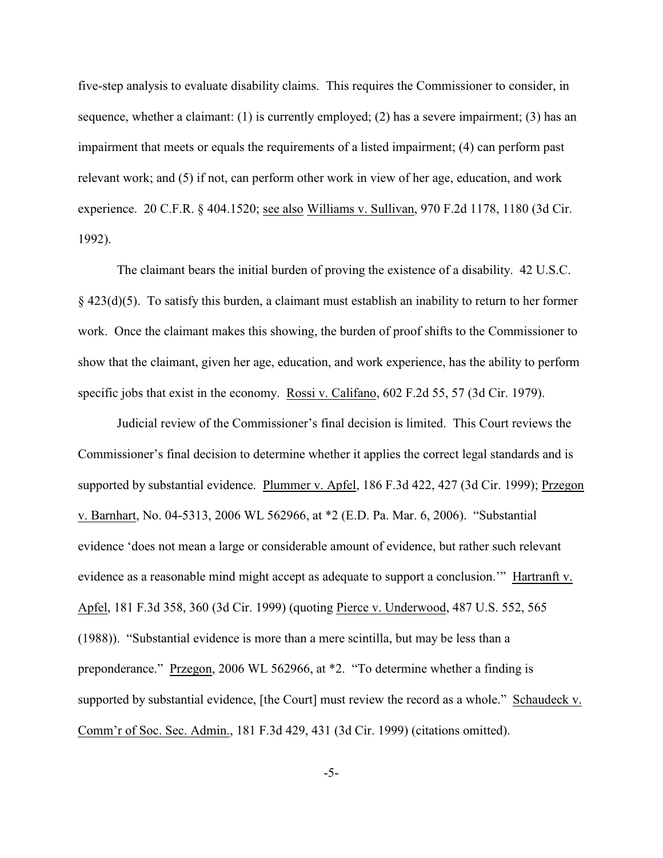five-step analysis to evaluate disability claims. This requires the Commissioner to consider, in sequence, whether a claimant: (1) is currently employed; (2) has a severe impairment; (3) has an impairment that meets or equals the requirements of a listed impairment; (4) can perform past relevant work; and (5) if not, can perform other work in view of her age, education, and work experience. 20 C.F.R. § 404.1520; see also Williams v. Sullivan, 970 F.2d 1178, 1180 (3d Cir. 1992).

The claimant bears the initial burden of proving the existence of a disability. 42 U.S.C. § 423(d)(5). To satisfy this burden, a claimant must establish an inability to return to her former work. Once the claimant makes this showing, the burden of proof shifts to the Commissioner to show that the claimant, given her age, education, and work experience, has the ability to perform specific jobs that exist in the economy. Rossi v. Califano, 602 F.2d 55, 57 (3d Cir. 1979).

Judicial review of the Commissioner's final decision is limited. This Court reviews the Commissioner's final decision to determine whether it applies the correct legal standards and is supported by substantial evidence. Plummer v. Apfel, 186 F.3d 422, 427 (3d Cir. 1999); Przegon v. Barnhart, No. 04-5313, 2006 WL 562966, at \*2 (E.D. Pa. Mar. 6, 2006). "Substantial evidence 'does not mean a large or considerable amount of evidence, but rather such relevant evidence as a reasonable mind might accept as adequate to support a conclusion.'" Hartranft v. Apfel, 181 F.3d 358, 360 (3d Cir. 1999) (quoting Pierce v. Underwood, 487 U.S. 552, 565 (1988)). "Substantial evidence is more than a mere scintilla, but may be less than a preponderance." Przegon, 2006 WL 562966, at \*2. "To determine whether a finding is supported by substantial evidence, [the Court] must review the record as a whole." Schaudeck v. Comm'r of Soc. Sec. Admin., 181 F.3d 429, 431 (3d Cir. 1999) (citations omitted).

-5-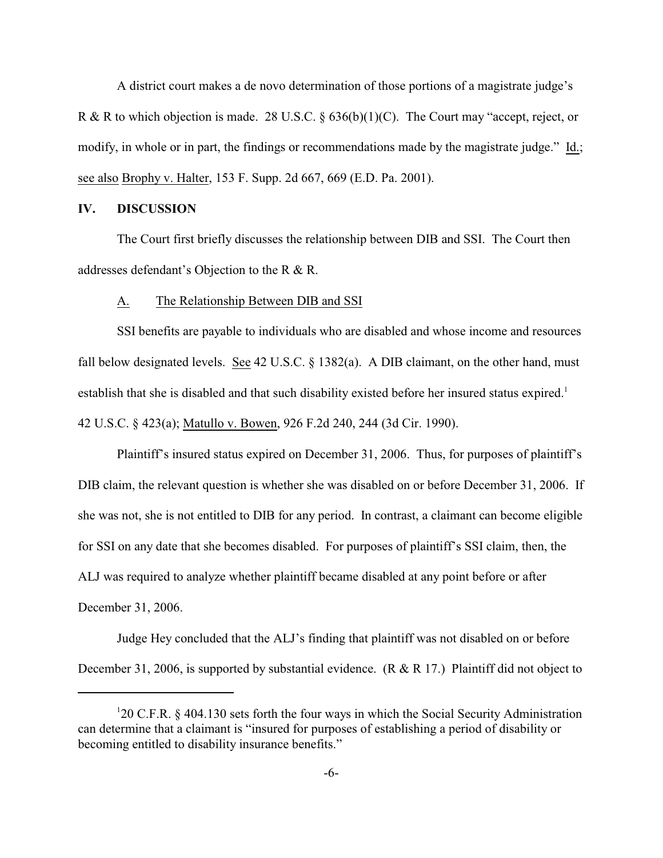A district court makes a de novo determination of those portions of a magistrate judge's R & R to which objection is made. 28 U.S.C. § 636(b)(1)(C). The Court may "accept, reject, or modify, in whole or in part, the findings or recommendations made by the magistrate judge." Id.; see also Brophy v. Halter, 153 F. Supp. 2d 667, 669 (E.D. Pa. 2001).

### **IV. DISCUSSION**

The Court first briefly discusses the relationship between DIB and SSI. The Court then addresses defendant's Objection to the R & R.

#### A. The Relationship Between DIB and SSI

SSI benefits are payable to individuals who are disabled and whose income and resources fall below designated levels. See 42 U.S.C. § 1382(a). A DIB claimant, on the other hand, must establish that she is disabled and that such disability existed before her insured status expired.<sup>1</sup> 42 U.S.C. § 423(a); Matullo v. Bowen, 926 F.2d 240, 244 (3d Cir. 1990).

Plaintiff's insured status expired on December 31, 2006. Thus, for purposes of plaintiff's DIB claim, the relevant question is whether she was disabled on or before December 31, 2006. If she was not, she is not entitled to DIB for any period. In contrast, a claimant can become eligible for SSI on any date that she becomes disabled. For purposes of plaintiff's SSI claim, then, the ALJ was required to analyze whether plaintiff became disabled at any point before or after December 31, 2006.

Judge Hey concluded that the ALJ's finding that plaintiff was not disabled on or before December 31, 2006, is supported by substantial evidence. (R & R 17.) Plaintiff did not object to

<sup>&</sup>lt;sup>1</sup>20 C.F.R. § 404.130 sets forth the four ways in which the Social Security Administration can determine that a claimant is "insured for purposes of establishing a period of disability or becoming entitled to disability insurance benefits."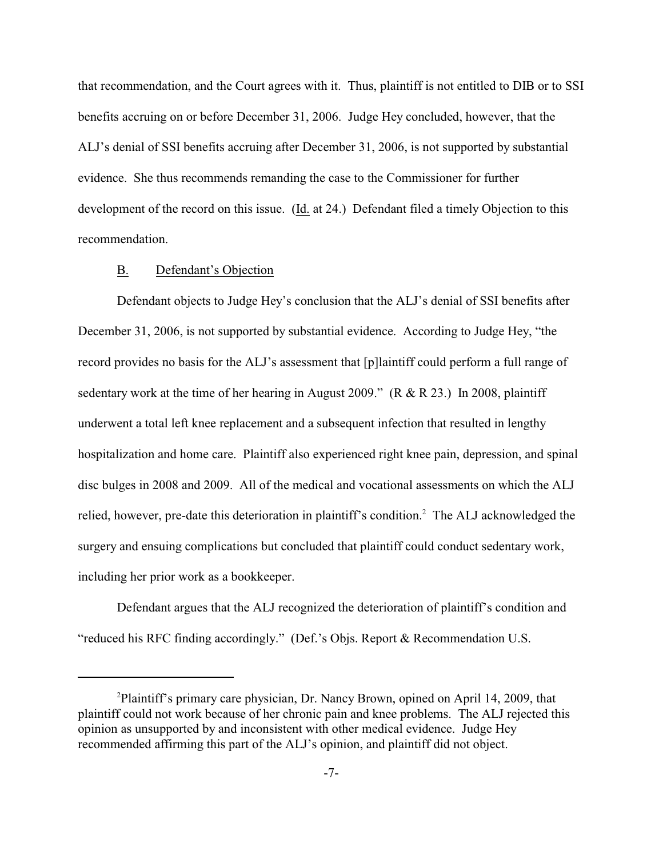that recommendation, and the Court agrees with it. Thus, plaintiff is not entitled to DIB or to SSI benefits accruing on or before December 31, 2006. Judge Hey concluded, however, that the ALJ's denial of SSI benefits accruing after December 31, 2006, is not supported by substantial evidence. She thus recommends remanding the case to the Commissioner for further development of the record on this issue. (Id. at 24.) Defendant filed a timely Objection to this recommendation.

#### B. Defendant's Objection

Defendant objects to Judge Hey's conclusion that the ALJ's denial of SSI benefits after December 31, 2006, is not supported by substantial evidence. According to Judge Hey, "the record provides no basis for the ALJ's assessment that [p]laintiff could perform a full range of sedentary work at the time of her hearing in August 2009." (R & R 23.) In 2008, plaintiff underwent a total left knee replacement and a subsequent infection that resulted in lengthy hospitalization and home care. Plaintiff also experienced right knee pain, depression, and spinal disc bulges in 2008 and 2009. All of the medical and vocational assessments on which the ALJ relied, however, pre-date this deterioration in plaintiff's condition.<sup>2</sup> The ALJ acknowledged the surgery and ensuing complications but concluded that plaintiff could conduct sedentary work, including her prior work as a bookkeeper.

Defendant argues that the ALJ recognized the deterioration of plaintiff's condition and "reduced his RFC finding accordingly." (Def.'s Objs. Report & Recommendation U.S.

 $^{2}$ Plaintiff's primary care physician, Dr. Nancy Brown, opined on April 14, 2009, that plaintiff could not work because of her chronic pain and knee problems. The ALJ rejected this opinion as unsupported by and inconsistent with other medical evidence. Judge Hey recommended affirming this part of the ALJ's opinion, and plaintiff did not object.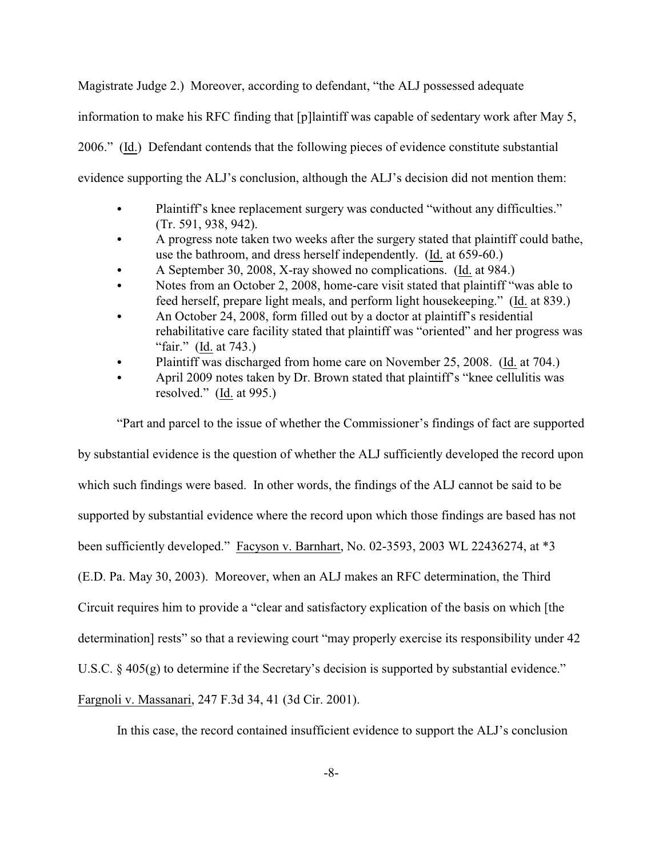Magistrate Judge 2.) Moreover, according to defendant, "the ALJ possessed adequate information to make his RFC finding that [p]laintiff was capable of sedentary work after May 5, 2006." (Id.) Defendant contends that the following pieces of evidence constitute substantial evidence supporting the ALJ's conclusion, although the ALJ's decision did not mention them:

- Plaintiff's knee replacement surgery was conducted "without any difficulties." (Tr. 591, 938, 942).
- A progress note taken two weeks after the surgery stated that plaintiff could bathe, use the bathroom, and dress herself independently. (Id. at 659-60.)
- A September 30, 2008, X-ray showed no complications. (Id. at 984.)
- Notes from an October 2, 2008, home-care visit stated that plaintiff "was able to feed herself, prepare light meals, and perform light housekeeping." (Id. at 839.)
- An October 24, 2008, form filled out by a doctor at plaintiff's residential rehabilitative care facility stated that plaintiff was "oriented" and her progress was "fair." (Id. at 743.)
- Plaintiff was discharged from home care on November 25, 2008. (Id. at 704.)
- April 2009 notes taken by Dr. Brown stated that plaintiff's "knee cellulitis was resolved." (Id. at 995.)

"Part and parcel to the issue of whether the Commissioner's findings of fact are supported by substantial evidence is the question of whether the ALJ sufficiently developed the record upon which such findings were based. In other words, the findings of the ALJ cannot be said to be supported by substantial evidence where the record upon which those findings are based has not been sufficiently developed." Facyson v. Barnhart, No. 02-3593, 2003 WL 22436274, at \*3 (E.D. Pa. May 30, 2003). Moreover, when an ALJ makes an RFC determination, the Third Circuit requires him to provide a "clear and satisfactory explication of the basis on which [the determination] rests" so that a reviewing court "may properly exercise its responsibility under 42 U.S.C. § 405(g) to determine if the Secretary's decision is supported by substantial evidence." Fargnoli v. Massanari, 247 F.3d 34, 41 (3d Cir. 2001).

In this case, the record contained insufficient evidence to support the ALJ's conclusion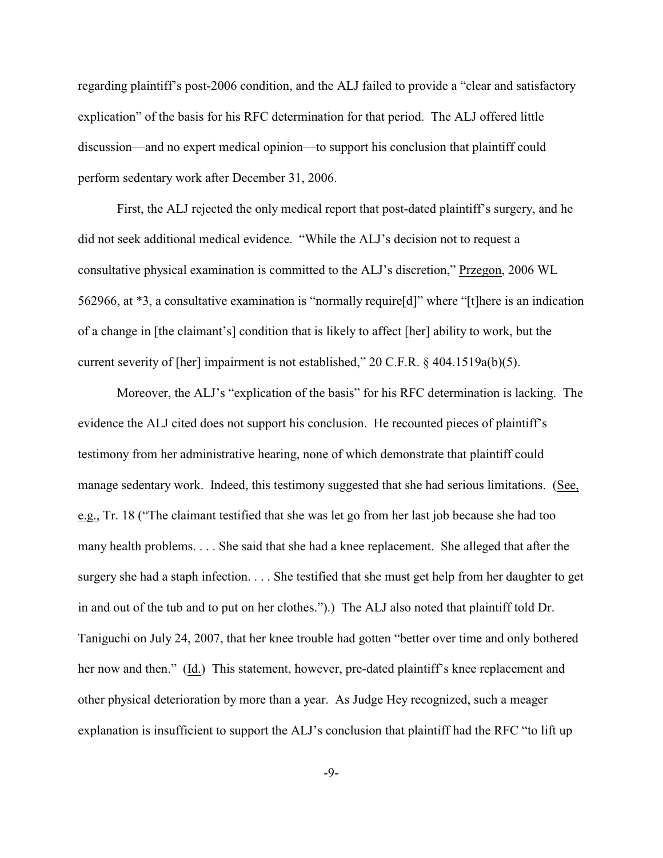regarding plaintiff's post-2006 condition, and the ALJ failed to provide a "clear and satisfactory explication" of the basis for his RFC determination for that period. The ALJ offered little discussion—and no expert medical opinion—to support his conclusion that plaintiff could perform sedentary work after December 31, 2006.

First, the ALJ rejected the only medical report that post-dated plaintiff's surgery, and he did not seek additional medical evidence. "While the ALJ's decision not to request a consultative physical examination is committed to the ALJ's discretion," Przegon, 2006 WL 562966, at \*3, a consultative examination is "normally require[d]" where "[t]here is an indication of a change in [the claimant's] condition that is likely to affect [her] ability to work, but the current severity of [her] impairment is not established," 20 C.F.R. § 404.1519a(b)(5).

Moreover, the ALJ's "explication of the basis" for his RFC determination is lacking. The evidence the ALJ cited does not support his conclusion. He recounted pieces of plaintiff's testimony from her administrative hearing, none of which demonstrate that plaintiff could manage sedentary work. Indeed, this testimony suggested that she had serious limitations. (See, e.g., Tr. 18 ("The claimant testified that she was let go from her last job because she had too many health problems. . . . She said that she had a knee replacement. She alleged that after the surgery she had a staph infection. . . . She testified that she must get help from her daughter to get in and out of the tub and to put on her clothes.").) The ALJ also noted that plaintiff told Dr. Taniguchi on July 24, 2007, that her knee trouble had gotten "better over time and only bothered her now and then." (Id.) This statement, however, pre-dated plaintiff's knee replacement and other physical deterioration by more than a year. As Judge Hey recognized, such a meager explanation is insufficient to support the ALJ's conclusion that plaintiff had the RFC "to lift up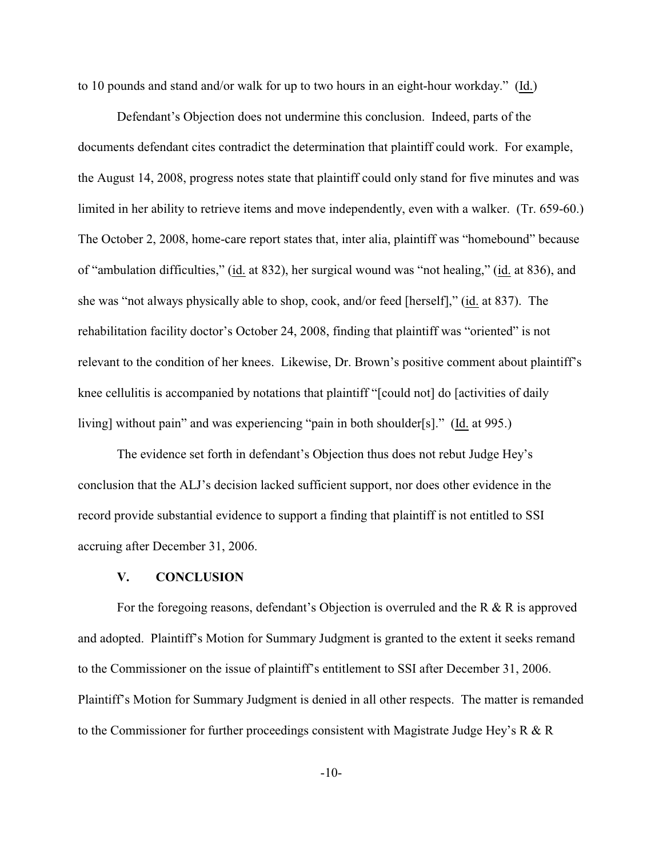to 10 pounds and stand and/or walk for up to two hours in an eight-hour workday." (Id.)

Defendant's Objection does not undermine this conclusion. Indeed, parts of the documents defendant cites contradict the determination that plaintiff could work. For example, the August 14, 2008, progress notes state that plaintiff could only stand for five minutes and was limited in her ability to retrieve items and move independently, even with a walker. (Tr. 659-60.) The October 2, 2008, home-care report states that, inter alia, plaintiff was "homebound" because of "ambulation difficulties," (id. at 832), her surgical wound was "not healing," (id. at 836), and she was "not always physically able to shop, cook, and/or feed [herself]," (id. at 837). The rehabilitation facility doctor's October 24, 2008, finding that plaintiff was "oriented" is not relevant to the condition of her knees. Likewise, Dr. Brown's positive comment about plaintiff's knee cellulitis is accompanied by notations that plaintiff "[could not] do [activities of daily living] without pain" and was experiencing "pain in both shoulder[s]." (Id. at 995.)

The evidence set forth in defendant's Objection thus does not rebut Judge Hey's conclusion that the ALJ's decision lacked sufficient support, nor does other evidence in the record provide substantial evidence to support a finding that plaintiff is not entitled to SSI accruing after December 31, 2006.

#### **V. CONCLUSION**

For the foregoing reasons, defendant's Objection is overruled and the R & R is approved and adopted. Plaintiff's Motion for Summary Judgment is granted to the extent it seeks remand to the Commissioner on the issue of plaintiff's entitlement to SSI after December 31, 2006. Plaintiff's Motion for Summary Judgment is denied in all other respects. The matter is remanded to the Commissioner for further proceedings consistent with Magistrate Judge Hey's R  $\&$  R